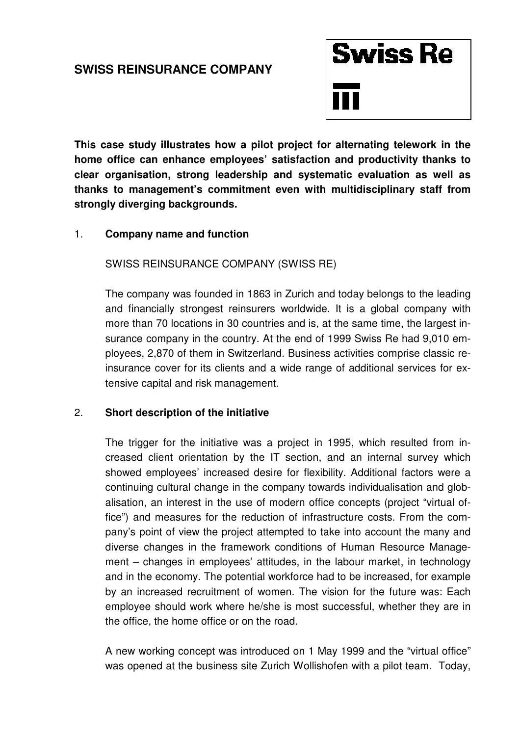## **SWISS REINSURANCE COMPANY**



**This case study illustrates how a pilot project for alternating telework in the home office can enhance employees' satisfaction and productivity thanks to clear organisation, strong leadership and systematic evaluation as well as thanks to management's commitment even with multidisciplinary staff from strongly diverging backgrounds.** 

## 1. **Company name and function**

SWISS REINSURANCE COMPANY (SWISS RE)

The company was founded in 1863 in Zurich and today belongs to the leading and financially strongest reinsurers worldwide. It is a global company with more than 70 locations in 30 countries and is, at the same time, the largest insurance company in the country. At the end of 1999 Swiss Re had 9,010 employees, 2,870 of them in Switzerland. Business activities comprise classic reinsurance cover for its clients and a wide range of additional services for extensive capital and risk management.

## 2. **Short description of the initiative**

The trigger for the initiative was a project in 1995, which resulted from increased client orientation by the IT section, and an internal survey which showed employees' increased desire for flexibility. Additional factors were a continuing cultural change in the company towards individualisation and globalisation, an interest in the use of modern office concepts (project "virtual office") and measures for the reduction of infrastructure costs. From the company's point of view the project attempted to take into account the many and diverse changes in the framework conditions of Human Resource Management – changes in employees' attitudes, in the labour market, in technology and in the economy. The potential workforce had to be increased, for example by an increased recruitment of women. The vision for the future was: Each employee should work where he/she is most successful, whether they are in the office, the home office or on the road.

A new working concept was introduced on 1 May 1999 and the "virtual office" was opened at the business site Zurich Wollishofen with a pilot team. Today,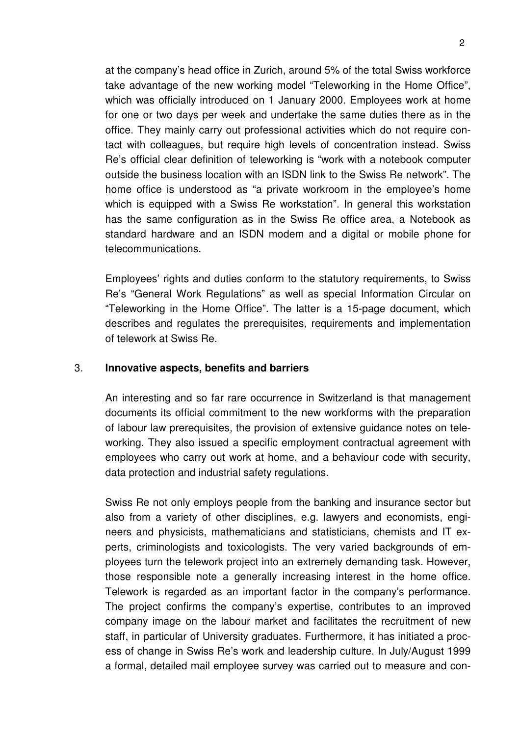at the company's head office in Zurich, around 5% of the total Swiss workforce take advantage of the new working model "Teleworking in the Home Office", which was officially introduced on 1 January 2000. Employees work at home for one or two days per week and undertake the same duties there as in the office. They mainly carry out professional activities which do not require contact with colleagues, but require high levels of concentration instead. Swiss Re's official clear definition of teleworking is "work with a notebook computer outside the business location with an ISDN link to the Swiss Re network". The home office is understood as "a private workroom in the employee's home which is equipped with a Swiss Re workstation". In general this workstation has the same configuration as in the Swiss Re office area, a Notebook as standard hardware and an ISDN modem and a digital or mobile phone for telecommunications.

 Employees' rights and duties conform to the statutory requirements, to Swiss Re's "General Work Regulations" as well as special Information Circular on "Teleworking in the Home Office". The latter is a 15-page document, which describes and regulates the prerequisites, requirements and implementation of telework at Swiss Re.

## 3. **Innovative aspects, benefits and barriers**

An interesting and so far rare occurrence in Switzerland is that management documents its official commitment to the new workforms with the preparation of labour law prerequisites, the provision of extensive guidance notes on teleworking. They also issued a specific employment contractual agreement with employees who carry out work at home, and a behaviour code with security, data protection and industrial safety regulations.

Swiss Re not only employs people from the banking and insurance sector but also from a variety of other disciplines, e.g. lawyers and economists, engineers and physicists, mathematicians and statisticians, chemists and IT experts, criminologists and toxicologists. The very varied backgrounds of employees turn the telework project into an extremely demanding task. However, those responsible note a generally increasing interest in the home office. Telework is regarded as an important factor in the company's performance. The project confirms the company's expertise, contributes to an improved company image on the labour market and facilitates the recruitment of new staff, in particular of University graduates. Furthermore, it has initiated a process of change in Swiss Re's work and leadership culture. In July/August 1999 a formal, detailed mail employee survey was carried out to measure and con